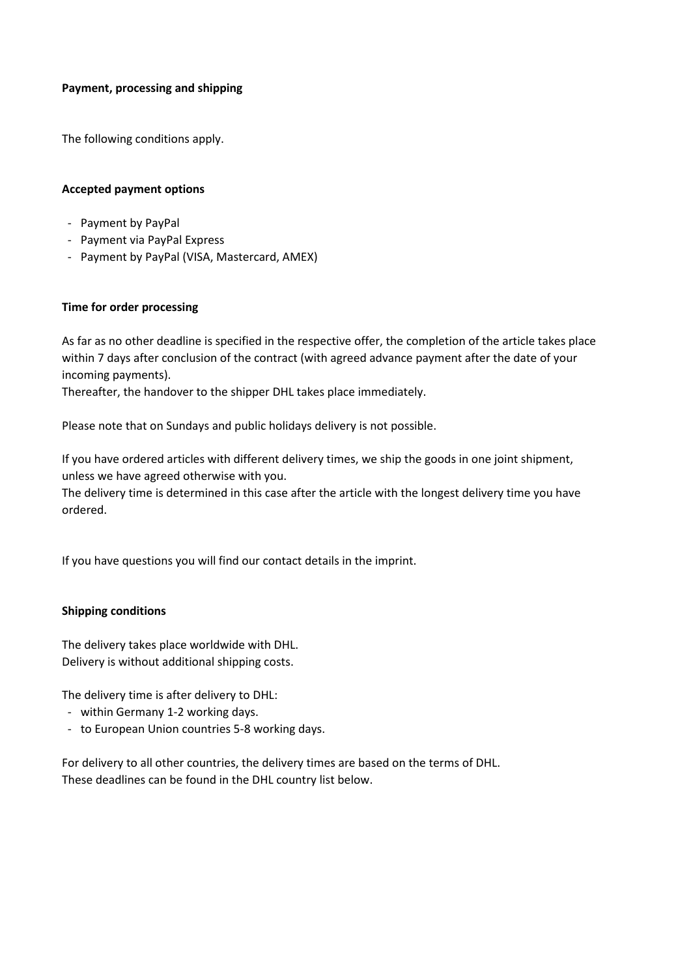## **Payment, processing and shipping**

The following conditions apply.

## **Accepted payment options**

- Payment by PayPal
- Payment via PayPal Express
- Payment by PayPal (VISA, Mastercard, AMEX)

## **Time for order processing**

As far as no other deadline is specified in the respective offer, the completion of the article takes place within 7 days after conclusion of the contract (with agreed advance payment after the date of your incoming payments).

Thereafter, the handover to the shipper DHL takes place immediately.

Please note that on Sundays and public holidays delivery is not possible.

If you have ordered articles with different delivery times, we ship the goods in one joint shipment, unless we have agreed otherwise with you.

The delivery time is determined in this case after the article with the longest delivery time you have ordered.

If you have questions you will find our contact details in the imprint.

## **Shipping conditions**

The delivery takes place worldwide with DHL. Delivery is without additional shipping costs.

The delivery time is after delivery to DHL:

- within Germany 1-2 working days.
- to European Union countries 5-8 working days.

For delivery to all other countries, the delivery times are based on the terms of DHL. These deadlines can be found in the DHL country list below.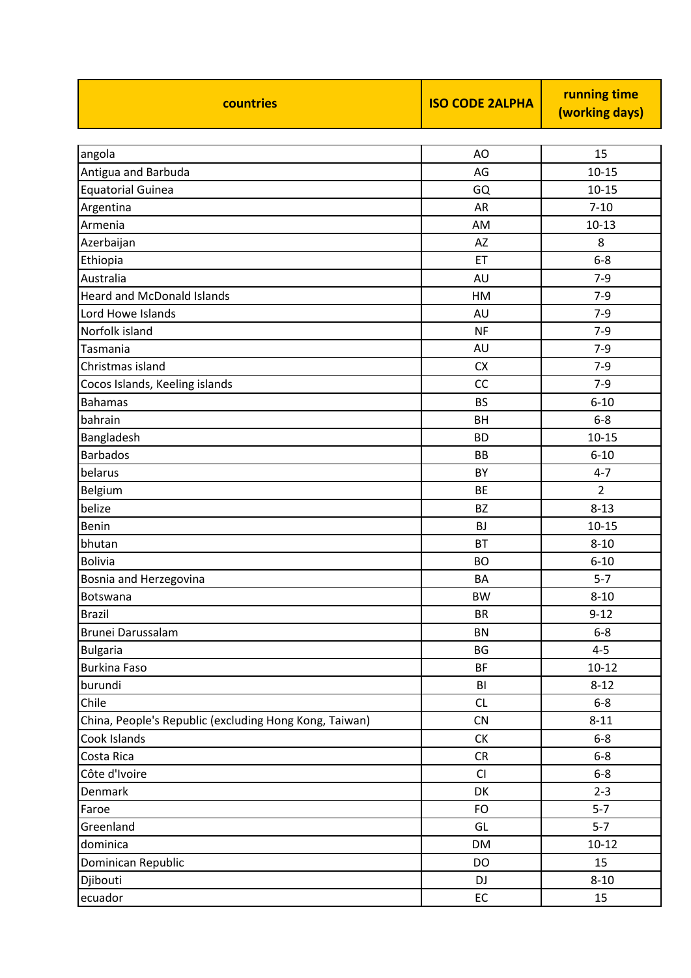| countries                                              | <b>ISO CODE 2ALPHA</b> | running time<br>(working days) |
|--------------------------------------------------------|------------------------|--------------------------------|
|                                                        |                        |                                |
| angola                                                 | AO                     | 15                             |
| Antigua and Barbuda                                    | AG                     | $10 - 15$                      |
| <b>Equatorial Guinea</b>                               | GQ                     | $10 - 15$                      |
| Argentina                                              | AR                     | $7 - 10$                       |
| Armenia                                                | AM                     | $10 - 13$                      |
| Azerbaijan                                             | AZ                     | 8                              |
| Ethiopia                                               | ET                     | $6 - 8$                        |
| Australia                                              | AU                     | $7-9$                          |
| <b>Heard and McDonald Islands</b>                      | HM                     | $7 - 9$                        |
| Lord Howe Islands                                      | AU                     | $7-9$                          |
| Norfolk island                                         | <b>NF</b>              | $7-9$                          |
| Tasmania                                               | AU                     | $7-9$                          |
| Christmas island                                       | <b>CX</b>              | $7-9$                          |
| Cocos Islands, Keeling islands                         | CC                     | $7-9$                          |
| <b>Bahamas</b>                                         | <b>BS</b>              | $6 - 10$                       |
| bahrain                                                | BH                     | $6 - 8$                        |
| Bangladesh                                             | <b>BD</b>              | $10 - 15$                      |
| <b>Barbados</b>                                        | <b>BB</b>              | $6 - 10$                       |
| belarus                                                | BY                     | $4 - 7$                        |
| Belgium                                                | <b>BE</b>              | 2                              |
| belize                                                 | <b>BZ</b>              | $8 - 13$                       |
| Benin                                                  | <b>BJ</b>              | $10 - 15$                      |
| bhutan                                                 | <b>BT</b>              | $8 - 10$                       |
| <b>Bolivia</b>                                         | <b>BO</b>              | $6 - 10$                       |
| Bosnia and Herzegovina                                 | <b>BA</b>              | $5 - 7$                        |
| Botswana                                               | BW                     | $8 - 10$                       |
| <b>Brazil</b>                                          | <b>BR</b>              | $9 - 12$                       |
| Brunei Darussalam                                      | <b>BN</b>              | $6-8$                          |
| <b>Bulgaria</b>                                        | BG                     | $4 - 5$                        |
| <b>Burkina Faso</b>                                    | <b>BF</b>              | $10 - 12$                      |
| burundi                                                | BI                     | $8 - 12$                       |
| Chile                                                  | CL                     | $6-8$                          |
| China, People's Republic (excluding Hong Kong, Taiwan) | CN                     | $8 - 11$                       |
| Cook Islands                                           | СK                     | $6-8$                          |
| Costa Rica                                             | CR                     | $6-8$                          |
| Côte d'Ivoire                                          | CI                     | $6 - 8$                        |
| Denmark                                                | DK                     | $2 - 3$                        |
| Faroe                                                  | FO                     | $5 - 7$                        |
| Greenland                                              | GL                     | $5 - 7$                        |
| dominica                                               | <b>DM</b>              | $10 - 12$                      |
| Dominican Republic                                     | DO                     | 15                             |
| Djibouti                                               | DJ                     | $8 - 10$                       |
| ecuador                                                | EC                     | 15                             |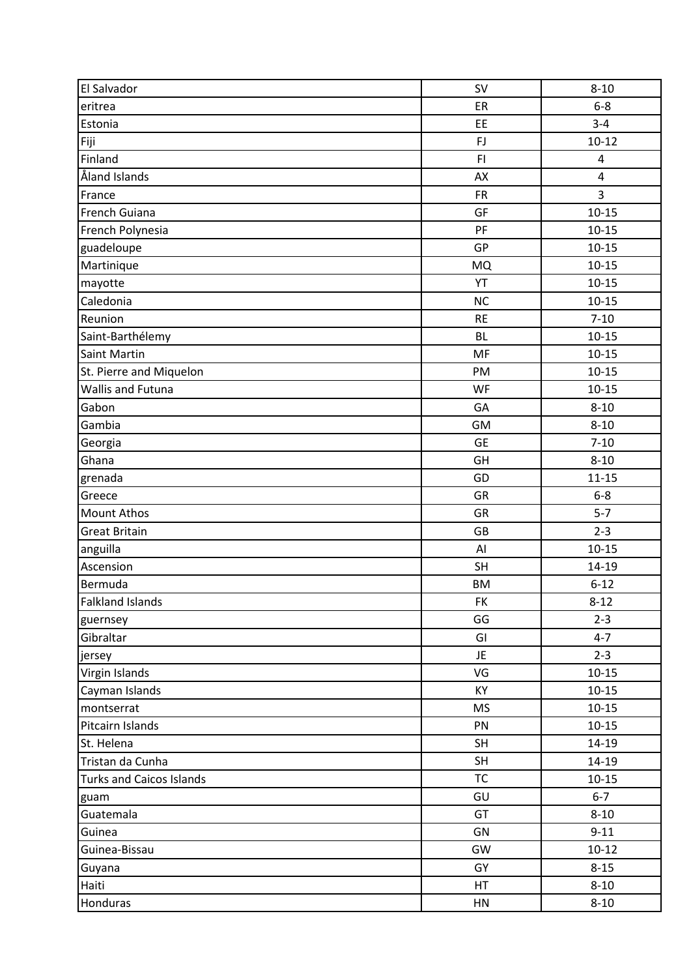| El Salvador                     | SV        | $8 - 10$       |
|---------------------------------|-----------|----------------|
| eritrea                         | ER        | $6-8$          |
| Estonia                         | EE        | $3 - 4$        |
| Fiji                            | FJ        | $10 - 12$      |
| Finland                         | F1        | $\overline{4}$ |
| Åland Islands                   | AX        | $\overline{4}$ |
| France                          | <b>FR</b> | 3              |
| French Guiana                   | GF        | $10 - 15$      |
| French Polynesia                | PF        | $10 - 15$      |
| guadeloupe                      | GP        | $10 - 15$      |
| Martinique                      | <b>MQ</b> | $10 - 15$      |
| mayotte                         | YT        | $10 - 15$      |
| Caledonia                       | <b>NC</b> | $10 - 15$      |
| Reunion                         | <b>RE</b> | $7 - 10$       |
| Saint-Barthélemy                | <b>BL</b> | $10 - 15$      |
| Saint Martin                    | MF        | $10 - 15$      |
| St. Pierre and Miquelon         | PM        | $10 - 15$      |
| Wallis and Futuna               | WF        | $10 - 15$      |
| Gabon                           | GA        | $8 - 10$       |
| Gambia                          | GM        | $8 - 10$       |
| Georgia                         | <b>GE</b> | $7 - 10$       |
| Ghana                           | GH        | $8 - 10$       |
| grenada                         | GD        | $11 - 15$      |
| Greece                          | GR        | $6-8$          |
| <b>Mount Athos</b>              | GR        | $5 - 7$        |
| <b>Great Britain</b>            | GB        | $2 - 3$        |
| anguilla                        | AI        | $10 - 15$      |
| Ascension                       | SH        | 14-19          |
| Bermuda                         | <b>BM</b> | $6 - 12$       |
| Falkland Islands                | FK.       | $8 - 12$       |
| guernsey                        | GG        | $2 - 3$        |
| Gibraltar                       | GI        | $4 - 7$        |
| jersey                          | JE.       | $2 - 3$        |
| Virgin Islands                  | VG        | $10 - 15$      |
| Cayman Islands                  | KY        | $10 - 15$      |
| montserrat                      | <b>MS</b> | $10 - 15$      |
| Pitcairn Islands                | PN        | $10 - 15$      |
| St. Helena                      | <b>SH</b> | 14-19          |
| Tristan da Cunha                | <b>SH</b> | 14-19          |
| <b>Turks and Caicos Islands</b> | <b>TC</b> | $10 - 15$      |
| guam                            | GU        | $6 - 7$        |
| Guatemala                       | GT        | $8 - 10$       |
| Guinea                          | GN        | $9 - 11$       |
| Guinea-Bissau                   | GW        | $10 - 12$      |
| Guyana                          | GY        | $8 - 15$       |
| Haiti                           | HT        | $8 - 10$       |
| Honduras                        | HN        | $8 - 10$       |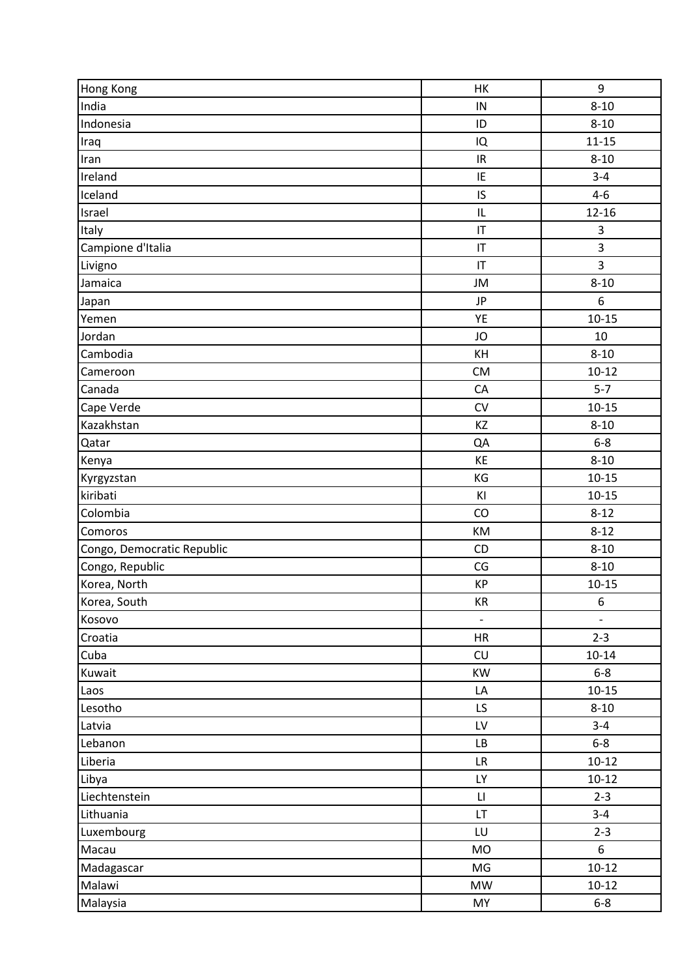| Hong Kong                  | HK                                | 9                        |
|----------------------------|-----------------------------------|--------------------------|
| India                      | IN                                | $8 - 10$                 |
| Indonesia                  | ID                                | $8 - 10$                 |
| Iraq                       | IQ                                | $11 - 15$                |
| Iran                       | $\ensuremath{\mathsf{IR}}\xspace$ | $8 - 10$                 |
| Ireland                    | IE                                | $3 - 4$                  |
| Iceland                    | IS                                | $4 - 6$                  |
| Israel                     | IL                                | $12 - 16$                |
| Italy                      | IT                                | 3                        |
| Campione d'Italia          | IT                                | 3                        |
| Livigno                    | IT                                | 3                        |
| Jamaica                    | JM                                | $8 - 10$                 |
| Japan                      | <b>JP</b>                         | $\boldsymbol{6}$         |
| Yemen                      | YE                                | $10 - 15$                |
| Jordan                     | JO                                | 10                       |
| Cambodia                   | KH                                | $8 - 10$                 |
| Cameroon                   | <b>CM</b>                         | $10 - 12$                |
| Canada                     | CA                                | $5 - 7$                  |
| Cape Verde                 | CV                                | $10 - 15$                |
| Kazakhstan                 | KZ                                | $8 - 10$                 |
| Qatar                      | QA                                | $6-8$                    |
| Kenya                      | KE                                | $8 - 10$                 |
| Kyrgyzstan                 | KG                                | $10 - 15$                |
| kiribati                   | KI                                | $10 - 15$                |
| Colombia                   | CO                                | $8 - 12$                 |
| Comoros                    | KM                                | $8 - 12$                 |
| Congo, Democratic Republic | CD                                | $8 - 10$                 |
| Congo, Republic            | CG                                | $8 - 10$                 |
| Korea, North               | KP                                | $10 - 15$                |
| Korea, South               | KR                                | 6                        |
| Kosovo                     | $\overline{\phantom{a}}$          | $\overline{\phantom{a}}$ |
| Croatia                    | <b>HR</b>                         | $2 - 3$                  |
| Cuba                       | CU                                | $10 - 14$                |
| Kuwait                     | <b>KW</b>                         | $6-8$                    |
| Laos                       | LA                                | $10 - 15$                |
| Lesotho                    | LS.                               | $8 - 10$                 |
| Latvia                     | LV                                | $3 - 4$                  |
| Lebanon                    | LB                                | $6-8$                    |
| Liberia                    | ${\sf LR}$                        | $10 - 12$                |
| Libya                      | <b>LY</b>                         | $10 - 12$                |
| Liechtenstein              | $\mathsf{L}\mathsf{I}$            | $2 - 3$                  |
| Lithuania                  | LT.                               | $3 - 4$                  |
| Luxembourg                 | LU                                | $2 - 3$                  |
| Macau                      | <b>MO</b>                         | 6                        |
| Madagascar                 | MG                                | $10 - 12$                |
| Malawi                     | <b>MW</b>                         | $10 - 12$                |
| Malaysia                   | MY                                | $6-8$                    |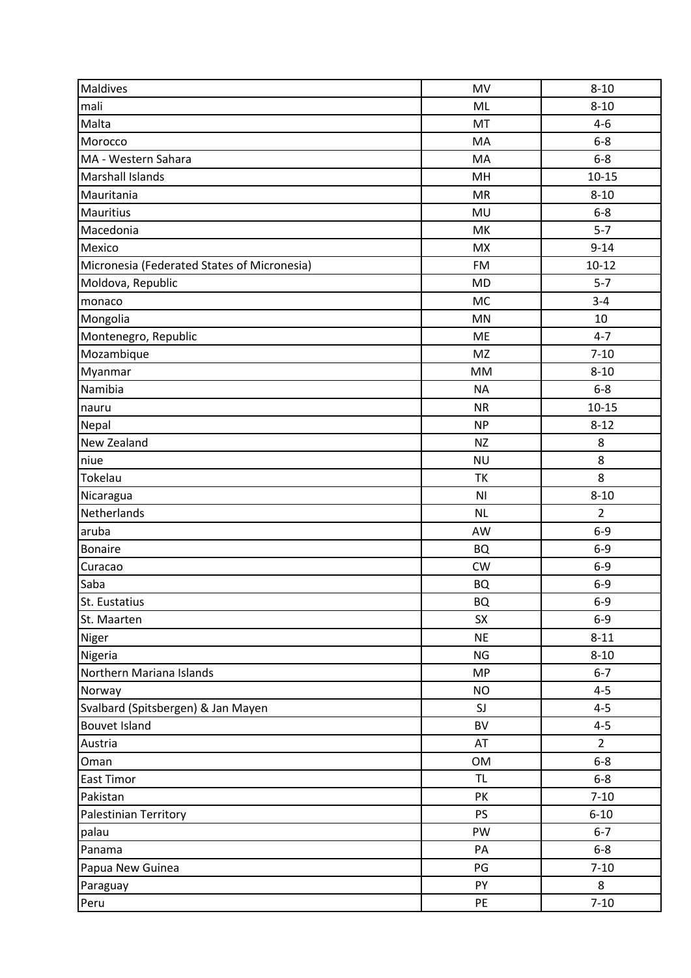| Maldives                                    | MV             | $8 - 10$       |
|---------------------------------------------|----------------|----------------|
| mali                                        | ML             | $8 - 10$       |
| Malta                                       | MT             | $4 - 6$        |
| Morocco                                     | MA             | $6-8$          |
| MA - Western Sahara                         | MA             | $6-8$          |
| Marshall Islands                            | MH             | $10 - 15$      |
| Mauritania                                  | <b>MR</b>      | $8 - 10$       |
| <b>Mauritius</b>                            | MU             | $6-8$          |
| Macedonia                                   | MK             | $5 - 7$        |
| Mexico                                      | <b>MX</b>      | $9 - 14$       |
| Micronesia (Federated States of Micronesia) | <b>FM</b>      | $10 - 12$      |
| Moldova, Republic                           | <b>MD</b>      | $5 - 7$        |
| monaco                                      | <b>MC</b>      | $3 - 4$        |
| Mongolia                                    | <b>MN</b>      | 10             |
| Montenegro, Republic                        | ME             | $4 - 7$        |
| Mozambique                                  | <b>MZ</b>      | $7 - 10$       |
| Myanmar                                     | <b>MM</b>      | $8 - 10$       |
| Namibia                                     | <b>NA</b>      | $6-8$          |
| nauru                                       | <b>NR</b>      | $10 - 15$      |
| Nepal                                       | <b>NP</b>      | $8 - 12$       |
| New Zealand                                 | <b>NZ</b>      | 8              |
| niue                                        | <b>NU</b>      | 8              |
| Tokelau                                     | TK             | 8              |
| Nicaragua                                   | N <sub>l</sub> | $8 - 10$       |
| Netherlands                                 | <b>NL</b>      | $\overline{2}$ |
| aruba                                       | AW             | $6-9$          |
| <b>Bonaire</b>                              | <b>BQ</b>      | $6-9$          |
| Curacao                                     | <b>CW</b>      | $6-9$          |
| Saba                                        | <b>BQ</b>      | $6-9$          |
| St. Eustatius                               | BQ             | 6-9            |
| St. Maarten                                 | SX             | $6-9$          |
| Niger                                       | <b>NE</b>      | $8 - 11$       |
| Nigeria                                     | <b>NG</b>      | $8 - 10$       |
| Northern Mariana Islands                    | <b>MP</b>      | $6 - 7$        |
| Norway                                      | <b>NO</b>      | $4 - 5$        |
| Svalbard (Spitsbergen) & Jan Mayen          | SJ             | $4 - 5$        |
| <b>Bouvet Island</b>                        | BV             | $4 - 5$        |
| Austria                                     | AT             | $\overline{2}$ |
| Oman                                        | <b>OM</b>      | $6 - 8$        |
| East Timor                                  | <b>TL</b>      | $6-8$          |
| Pakistan                                    | PK             | $7 - 10$       |
| Palestinian Territory                       | <b>PS</b>      | $6 - 10$       |
| palau                                       | PW             | $6 - 7$        |
| Panama                                      | PA             | $6-8$          |
| Papua New Guinea                            | PG             | $7 - 10$       |
| Paraguay                                    | PY             | 8              |
| Peru                                        | PE             | $7 - 10$       |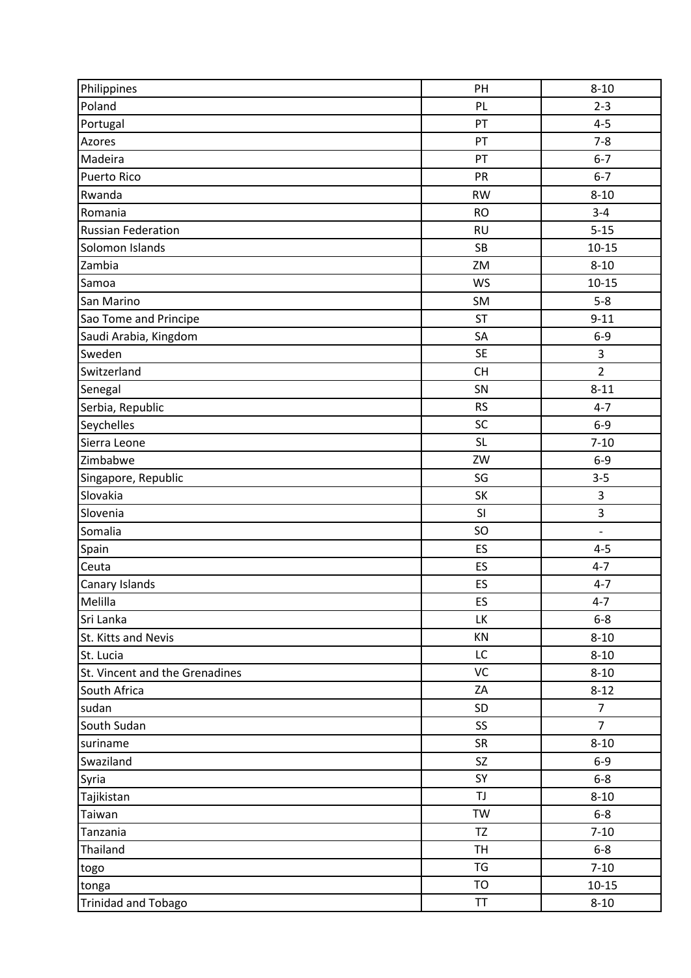| Philippines                    | PH        | $8 - 10$       |
|--------------------------------|-----------|----------------|
| Poland                         | PL        | $2 - 3$        |
| Portugal                       | PT        | $4 - 5$        |
| Azores                         | PT        | $7 - 8$        |
| Madeira                        | PT        | $6 - 7$        |
| <b>Puerto Rico</b>             | PR        | $6 - 7$        |
| Rwanda                         | <b>RW</b> | $8 - 10$       |
| Romania                        | <b>RO</b> | $3 - 4$        |
| <b>Russian Federation</b>      | <b>RU</b> | $5 - 15$       |
| Solomon Islands                | <b>SB</b> | $10 - 15$      |
| Zambia                         | ZM        | $8 - 10$       |
| Samoa                          | WS        | $10 - 15$      |
| San Marino                     | SM        | $5-8$          |
| Sao Tome and Principe          | <b>ST</b> | $9 - 11$       |
| Saudi Arabia, Kingdom          | SA        | $6-9$          |
| Sweden                         | <b>SE</b> | 3              |
| Switzerland                    | <b>CH</b> | $\overline{2}$ |
| Senegal                        | SN        | $8 - 11$       |
| Serbia, Republic               | <b>RS</b> | $4 - 7$        |
| Seychelles                     | SC        | $6-9$          |
| Sierra Leone                   | <b>SL</b> | $7 - 10$       |
| Zimbabwe                       | ZW        | $6-9$          |
| Singapore, Republic            | SG        | $3 - 5$        |
| Slovakia                       | SK        | 3              |
| Slovenia                       | SI        | 3              |
| Somalia                        | SO        | $\overline{a}$ |
| Spain                          | ES        | $4 - 5$        |
| Ceuta                          | ES        | $4 - 7$        |
| Canary Islands                 | ES        | $4 - 7$        |
| Melilla                        | ES        | $4 - 7$        |
| Sri Lanka                      | LK        | $6-8$          |
| St. Kitts and Nevis            | KN        | $8 - 10$       |
| St. Lucia                      | LC        | $8 - 10$       |
| St. Vincent and the Grenadines | VC        | $8 - 10$       |
| South Africa                   | ZA        | $8 - 12$       |
| sudan                          | SD        | $\overline{7}$ |
| South Sudan                    | SS        | $\overline{7}$ |
| suriname                       | SR        | $8 - 10$       |
| Swaziland                      | SZ        | $6-9$          |
| Syria                          | SY        | $6-8$          |
| Tajikistan                     | TJ        | $8 - 10$       |
| Taiwan                         | <b>TW</b> | $6-8$          |
| Tanzania                       | <b>TZ</b> | $7 - 10$       |
| Thailand                       | <b>TH</b> | $6-8$          |
| togo                           | TG        | $7 - 10$       |
| tonga                          | <b>TO</b> | $10 - 15$      |
| <b>Trinidad and Tobago</b>     | TT        | $8 - 10$       |